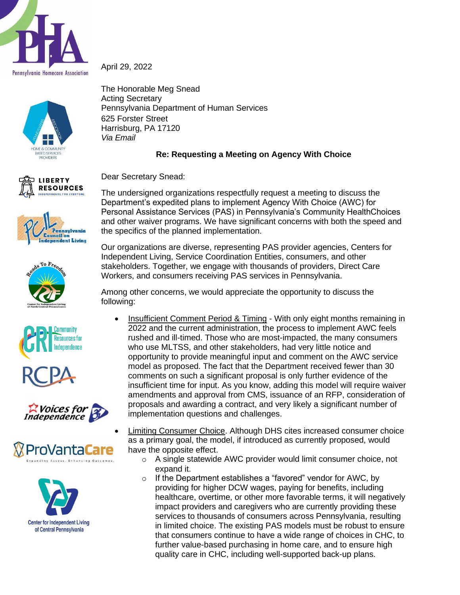



**LIBERTY RESOURCES** 















The Honorable Meg Snead Acting Secretary Pennsylvania Department of Human Services 625 Forster Street Harrisburg, PA 17120 *Via Email*

## **Re: Requesting a Meeting on Agency With Choice**

Dear Secretary Snead:

The undersigned organizations respectfully request a meeting to discuss the Department's expedited plans to implement Agency With Choice (AWC) for Personal Assistance Services (PAS) in Pennsylvania's Community HealthChoices and other waiver programs. We have significant concerns with both the speed and the specifics of the planned implementation.

Our organizations are diverse, representing PAS provider agencies, Centers for Independent Living, Service Coordination Entities, consumers, and other stakeholders. Together, we engage with thousands of providers, Direct Care Workers, and consumers receiving PAS services in Pennsylvania.

Among other concerns, we would appreciate the opportunity to discuss the following:

- Insufficient Comment Period & Timing With only eight months remaining in 2022 and the current administration, the process to implement AWC feels rushed and ill-timed. Those who are most-impacted, the many consumers who use MLTSS, and other stakeholders, had very little notice and opportunity to provide meaningful input and comment on the AWC service model as proposed. The fact that the Department received fewer than 30 comments on such a significant proposal is only further evidence of the insufficient time for input. As you know, adding this model will require waiver amendments and approval from CMS, issuance of an RFP, consideration of proposals and awarding a contract, and very likely a significant number of implementation questions and challenges.
	- Limiting Consumer Choice. Although DHS cites increased consumer choice as a primary goal, the model, if introduced as currently proposed, would have the opposite effect.
		- o A single statewide AWC provider would limit consumer choice, not expand it.
		- $\circ$  If the Department establishes a "favored" vendor for AWC, by providing for higher DCW wages, paying for benefits, including healthcare, overtime, or other more favorable terms, it will negatively impact providers and caregivers who are currently providing these services to thousands of consumers across Pennsylvania, resulting in limited choice. The existing PAS models must be robust to ensure that consumers continue to have a wide range of choices in CHC, to further value-based purchasing in home care, and to ensure high quality care in CHC, including well-supported back-up plans.

April 29, 2022